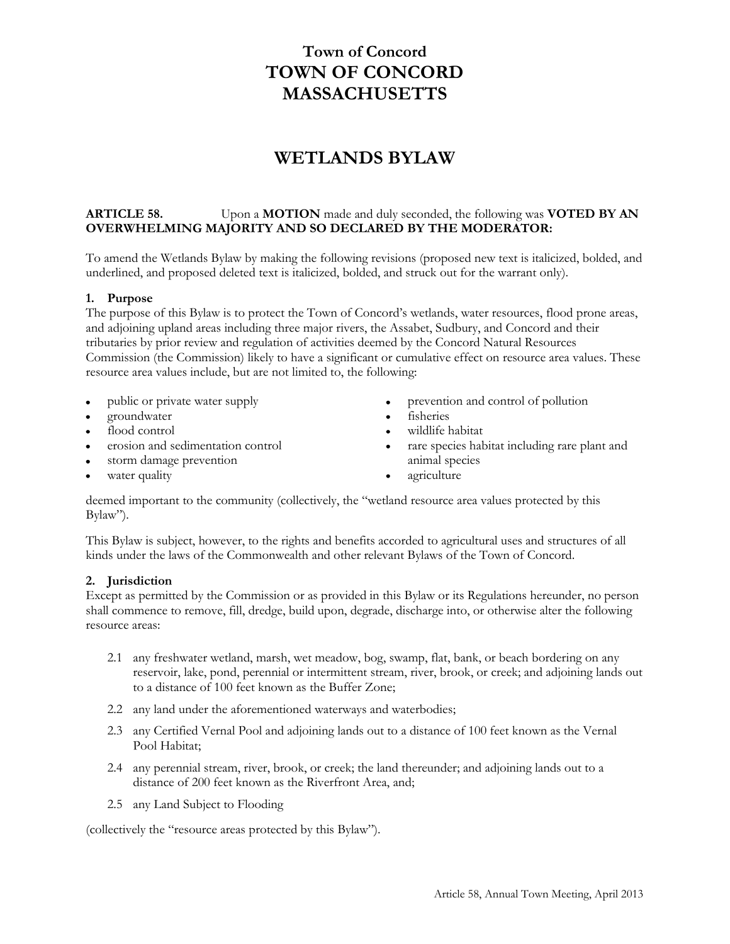# **Town of Concord TOWN OF CONCORD MASSACHUSETTS**

# **WETLANDS BYLAW**

# **ARTICLE 58.** Upon a **MOTION** made and duly seconded, the following was **VOTED BY AN OVERWHELMING MAJORITY AND SO DECLARED BY THE MODERATOR:**

To amend the Wetlands Bylaw by making the following revisions (proposed new text is italicized, bolded, and underlined, and proposed deleted text is italicized, bolded, and struck out for the warrant only).

### **1. Purpose**

The purpose of this Bylaw is to protect the Town of Concord's wetlands, water resources, flood prone areas, and adjoining upland areas including three major rivers, the Assabet, Sudbury, and Concord and their tributaries by prior review and regulation of activities deemed by the Concord Natural Resources Commission (the Commission) likely to have a significant or cumulative effect on resource area values. These resource area values include, but are not limited to, the following:

- public or private water supply
- groundwater
- flood control
- erosion and sedimentation control
- storm damage prevention
- water quality
- prevention and control of pollution
- fisheries
- wildlife habitat
- rare species habitat including rare plant and animal species
- agriculture

deemed important to the community (collectively, the "wetland resource area values protected by this Bylaw").

This Bylaw is subject, however, to the rights and benefits accorded to agricultural uses and structures of all kinds under the laws of the Commonwealth and other relevant Bylaws of the Town of Concord.

#### **2. Jurisdiction**

Except as permitted by the Commission or as provided in this Bylaw or its Regulations hereunder, no person shall commence to remove, fill, dredge, build upon, degrade, discharge into, or otherwise alter the following resource areas:

- 2.1 any freshwater wetland, marsh, wet meadow, bog, swamp, flat, bank, or beach bordering on any reservoir, lake, pond, perennial or intermittent stream, river, brook, or creek; and adjoining lands out to a distance of 100 feet known as the Buffer Zone;
- 2.2 any land under the aforementioned waterways and waterbodies;
- 2.3 any Certified Vernal Pool and adjoining lands out to a distance of 100 feet known as the Vernal Pool Habitat;
- 2.4 any perennial stream, river, brook, or creek; the land thereunder; and adjoining lands out to a distance of 200 feet known as the Riverfront Area, and;
- 2.5 any Land Subject to Flooding

(collectively the "resource areas protected by this Bylaw").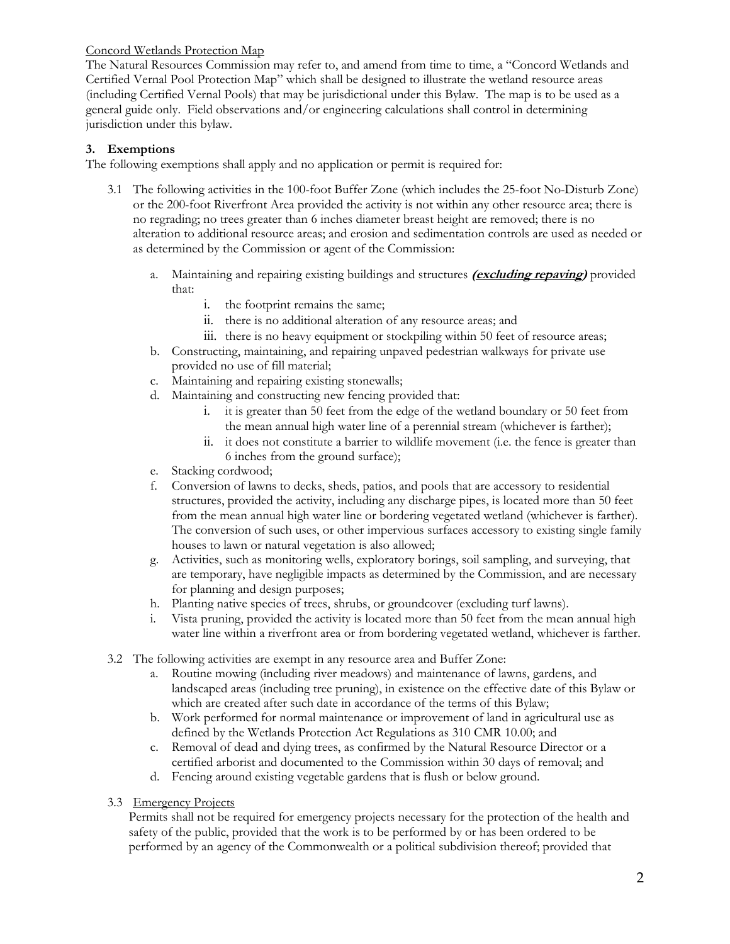# Concord Wetlands Protection Map

The Natural Resources Commission may refer to, and amend from time to time, a "Concord Wetlands and Certified Vernal Pool Protection Map" which shall be designed to illustrate the wetland resource areas (including Certified Vernal Pools) that may be jurisdictional under this Bylaw. The map is to be used as a general guide only. Field observations and/or engineering calculations shall control in determining jurisdiction under this bylaw.

# **3. Exemptions**

The following exemptions shall apply and no application or permit is required for:

- 3.1 The following activities in the 100-foot Buffer Zone (which includes the 25-foot No-Disturb Zone) or the 200-foot Riverfront Area provided the activity is not within any other resource area; there is no regrading; no trees greater than 6 inches diameter breast height are removed; there is no alteration to additional resource areas; and erosion and sedimentation controls are used as needed or as determined by the Commission or agent of the Commission:
	- a. Maintaining and repairing existing buildings and structures **(excluding repaving)** provided that:
		- i. the footprint remains the same;
		- ii. there is no additional alteration of any resource areas; and
		- iii. there is no heavy equipment or stockpiling within 50 feet of resource areas;
	- b. Constructing, maintaining, and repairing unpaved pedestrian walkways for private use provided no use of fill material;
	- c. Maintaining and repairing existing stonewalls;
	- d. Maintaining and constructing new fencing provided that:
		- i. it is greater than 50 feet from the edge of the wetland boundary or 50 feet from the mean annual high water line of a perennial stream (whichever is farther);
		- ii. it does not constitute a barrier to wildlife movement (i.e. the fence is greater than 6 inches from the ground surface);
	- e. Stacking cordwood;
	- f. Conversion of lawns to decks, sheds, patios, and pools that are accessory to residential structures, provided the activity, including any discharge pipes, is located more than 50 feet from the mean annual high water line or bordering vegetated wetland (whichever is farther). The conversion of such uses, or other impervious surfaces accessory to existing single family houses to lawn or natural vegetation is also allowed;
	- g. Activities, such as monitoring wells, exploratory borings, soil sampling, and surveying, that are temporary, have negligible impacts as determined by the Commission, and are necessary for planning and design purposes;
	- h. Planting native species of trees, shrubs, or groundcover (excluding turf lawns).
	- i. Vista pruning, provided the activity is located more than 50 feet from the mean annual high water line within a riverfront area or from bordering vegetated wetland, whichever is farther.
- 3.2 The following activities are exempt in any resource area and Buffer Zone:
	- a. Routine mowing (including river meadows) and maintenance of lawns, gardens, and landscaped areas (including tree pruning), in existence on the effective date of this Bylaw or which are created after such date in accordance of the terms of this Bylaw;
	- b. Work performed for normal maintenance or improvement of land in agricultural use as defined by the Wetlands Protection Act Regulations as 310 CMR 10.00; and
	- c. Removal of dead and dying trees, as confirmed by the Natural Resource Director or a certified arborist and documented to the Commission within 30 days of removal; and
	- d. Fencing around existing vegetable gardens that is flush or below ground.
- 3.3 Emergency Projects

Permits shall not be required for emergency projects necessary for the protection of the health and safety of the public, provided that the work is to be performed by or has been ordered to be performed by an agency of the Commonwealth or a political subdivision thereof; provided that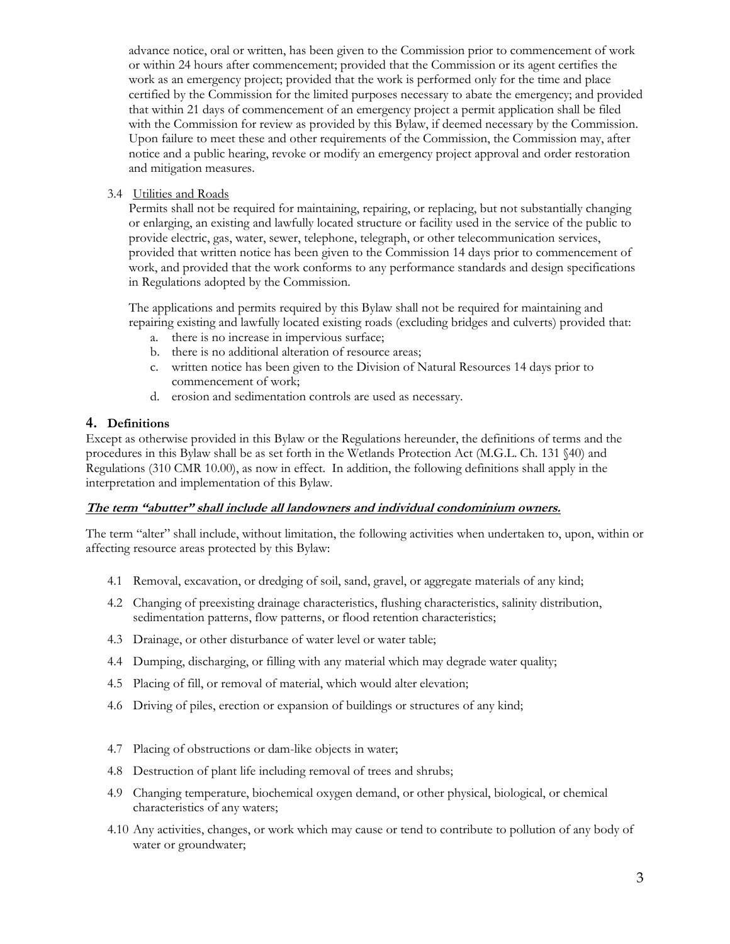advance notice, oral or written, has been given to the Commission prior to commencement of work or within 24 hours after commencement; provided that the Commission or its agent certifies the work as an emergency project; provided that the work is performed only for the time and place certified by the Commission for the limited purposes necessary to abate the emergency; and provided that within 21 days of commencement of an emergency project a permit application shall be filed with the Commission for review as provided by this Bylaw, if deemed necessary by the Commission. Upon failure to meet these and other requirements of the Commission, the Commission may, after notice and a public hearing, revoke or modify an emergency project approval and order restoration and mitigation measures.

3.4 Utilities and Roads

Permits shall not be required for maintaining, repairing, or replacing, but not substantially changing or enlarging, an existing and lawfully located structure or facility used in the service of the public to provide electric, gas, water, sewer, telephone, telegraph, or other telecommunication services, provided that written notice has been given to the Commission 14 days prior to commencement of work, and provided that the work conforms to any performance standards and design specifications in Regulations adopted by the Commission.

The applications and permits required by this Bylaw shall not be required for maintaining and repairing existing and lawfully located existing roads (excluding bridges and culverts) provided that:

- a. there is no increase in impervious surface;
- b. there is no additional alteration of resource areas;
- c. written notice has been given to the Division of Natural Resources 14 days prior to commencement of work;
- d. erosion and sedimentation controls are used as necessary.

# **4. Definitions**

Except as otherwise provided in this Bylaw or the Regulations hereunder, the definitions of terms and the procedures in this Bylaw shall be as set forth in the Wetlands Protection Act (M.G.L. Ch. 131 §40) and Regulations (310 CMR 10.00), as now in effect. In addition, the following definitions shall apply in the interpretation and implementation of this Bylaw.

# **The term "abutter" shall include all landowners and individual condominium owners.**

The term "alter" shall include, without limitation, the following activities when undertaken to, upon, within or affecting resource areas protected by this Bylaw:

- 4.1 Removal, excavation, or dredging of soil, sand, gravel, or aggregate materials of any kind;
- 4.2 Changing of preexisting drainage characteristics, flushing characteristics, salinity distribution, sedimentation patterns, flow patterns, or flood retention characteristics;
- 4.3 Drainage, or other disturbance of water level or water table;
- 4.4 Dumping, discharging, or filling with any material which may degrade water quality;
- 4.5 Placing of fill, or removal of material, which would alter elevation;
- 4.6 Driving of piles, erection or expansion of buildings or structures of any kind;
- 4.7 Placing of obstructions or dam-like objects in water;
- 4.8 Destruction of plant life including removal of trees and shrubs;
- 4.9 Changing temperature, biochemical oxygen demand, or other physical, biological, or chemical characteristics of any waters;
- 4.10 Any activities, changes, or work which may cause or tend to contribute to pollution of any body of water or groundwater;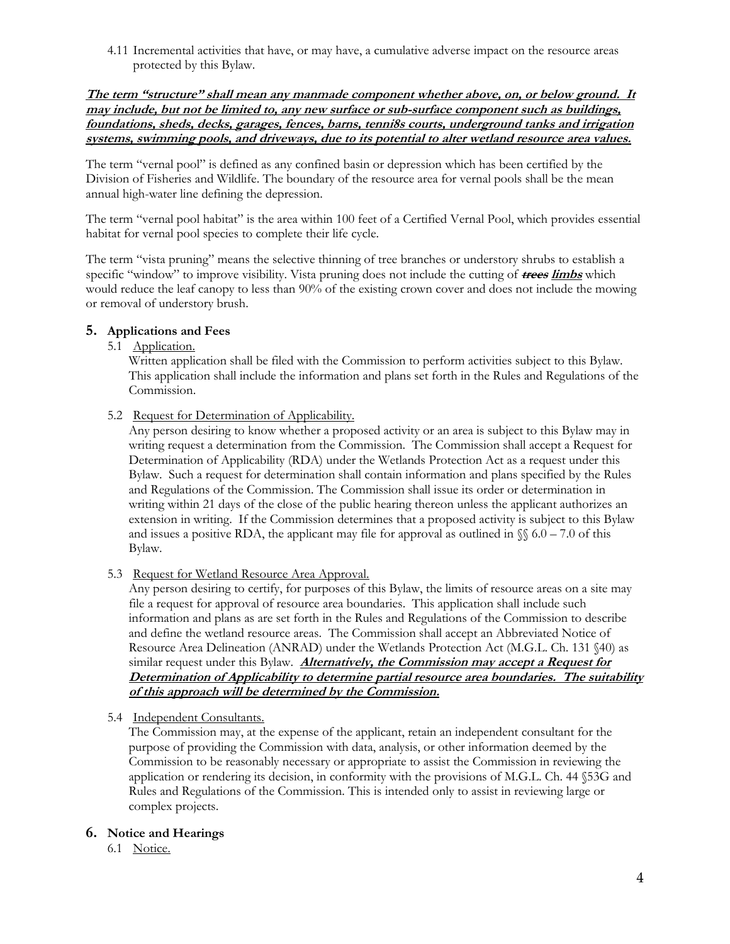4.11 Incremental activities that have, or may have, a cumulative adverse impact on the resource areas protected by this Bylaw.

**The term "structure" shall mean any manmade component whether above, on, or below ground. It may include, but not be limited to, any new surface or sub-surface component such as buildings, foundations, sheds, decks, garages, fences, barns, tenni8s courts, underground tanks and irrigation systems, swimming pools, and driveways, due to its potential to alter wetland resource area values.**

The term "vernal pool" is defined as any confined basin or depression which has been certified by the Division of Fisheries and Wildlife. The boundary of the resource area for vernal pools shall be the mean annual high-water line defining the depression.

The term "vernal pool habitat" is the area within 100 feet of a Certified Vernal Pool, which provides essential habitat for vernal pool species to complete their life cycle.

The term "vista pruning" means the selective thinning of tree branches or understory shrubs to establish a specific "window" to improve visibility. Vista pruning does not include the cutting of **trees limbs** which would reduce the leaf canopy to less than 90% of the existing crown cover and does not include the mowing or removal of understory brush.

# **5. Applications and Fees**

# 5.1 Application.

Written application shall be filed with the Commission to perform activities subject to this Bylaw. This application shall include the information and plans set forth in the Rules and Regulations of the Commission.

5.2 Request for Determination of Applicability.

Any person desiring to know whether a proposed activity or an area is subject to this Bylaw may in writing request a determination from the Commission. The Commission shall accept a Request for Determination of Applicability (RDA) under the Wetlands Protection Act as a request under this Bylaw. Such a request for determination shall contain information and plans specified by the Rules and Regulations of the Commission. The Commission shall issue its order or determination in writing within 21 days of the close of the public hearing thereon unless the applicant authorizes an extension in writing. If the Commission determines that a proposed activity is subject to this Bylaw and issues a positive RDA, the applicant may file for approval as outlined in  $\sqrt{\ }$  6.0 – 7.0 of this Bylaw.

5.3 Request for Wetland Resource Area Approval.

Any person desiring to certify, for purposes of this Bylaw, the limits of resource areas on a site may file a request for approval of resource area boundaries. This application shall include such information and plans as are set forth in the Rules and Regulations of the Commission to describe and define the wetland resource areas. The Commission shall accept an Abbreviated Notice of Resource Area Delineation (ANRAD) under the Wetlands Protection Act (M.G.L. Ch. 131 §40) as similar request under this Bylaw. **Alternatively, the Commission may accept a Request for Determination of Applicability to determine partial resource area boundaries. The suitability of this approach will be determined by the Commission.**

# 5.4 Independent Consultants.

The Commission may, at the expense of the applicant, retain an independent consultant for the purpose of providing the Commission with data, analysis, or other information deemed by the Commission to be reasonably necessary or appropriate to assist the Commission in reviewing the application or rendering its decision, in conformity with the provisions of M.G.L. Ch. 44 §53G and Rules and Regulations of the Commission. This is intended only to assist in reviewing large or complex projects.

# **6. Notice and Hearings**

6.1 Notice.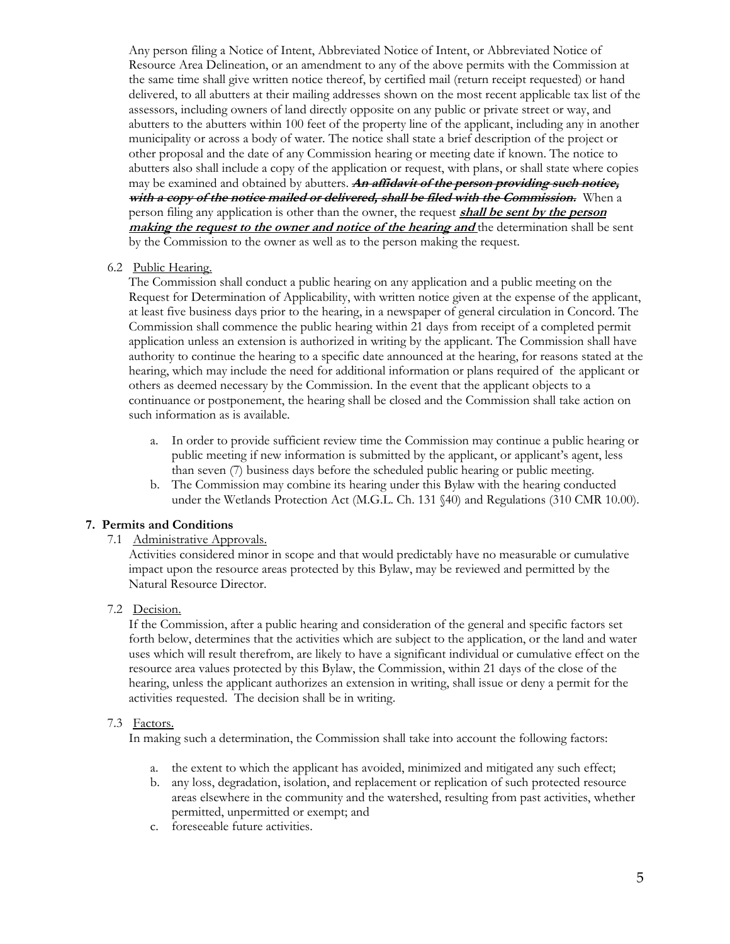Any person filing a Notice of Intent, Abbreviated Notice of Intent, or Abbreviated Notice of Resource Area Delineation, or an amendment to any of the above permits with the Commission at the same time shall give written notice thereof, by certified mail (return receipt requested) or hand delivered, to all abutters at their mailing addresses shown on the most recent applicable tax list of the assessors, including owners of land directly opposite on any public or private street or way, and abutters to the abutters within 100 feet of the property line of the applicant, including any in another municipality or across a body of water. The notice shall state a brief description of the project or other proposal and the date of any Commission hearing or meeting date if known. The notice to abutters also shall include a copy of the application or request, with plans, or shall state where copies may be examined and obtained by abutters. **An affidavit of the person providing such notice, with a copy of the notice mailed or delivered, shall be filed with the Commission.** When a person filing any application is other than the owner, the request **shall be sent by the person making the request to the owner and notice of the hearing and** the determination shall be sent by the Commission to the owner as well as to the person making the request.

### 6.2 Public Hearing.

The Commission shall conduct a public hearing on any application and a public meeting on the Request for Determination of Applicability, with written notice given at the expense of the applicant, at least five business days prior to the hearing, in a newspaper of general circulation in Concord. The Commission shall commence the public hearing within 21 days from receipt of a completed permit application unless an extension is authorized in writing by the applicant. The Commission shall have authority to continue the hearing to a specific date announced at the hearing, for reasons stated at the hearing, which may include the need for additional information or plans required of the applicant or others as deemed necessary by the Commission. In the event that the applicant objects to a continuance or postponement, the hearing shall be closed and the Commission shall take action on such information as is available.

- a. In order to provide sufficient review time the Commission may continue a public hearing or public meeting if new information is submitted by the applicant, or applicant's agent, less than seven (7) business days before the scheduled public hearing or public meeting.
- b. The Commission may combine its hearing under this Bylaw with the hearing conducted under the Wetlands Protection Act (M.G.L. Ch. 131 §40) and Regulations (310 CMR 10.00).

# **7. Permits and Conditions**

#### 7.1 Administrative Approvals.

Activities considered minor in scope and that would predictably have no measurable or cumulative impact upon the resource areas protected by this Bylaw, may be reviewed and permitted by the Natural Resource Director.

# 7.2 Decision.

If the Commission, after a public hearing and consideration of the general and specific factors set forth below, determines that the activities which are subject to the application, or the land and water uses which will result therefrom, are likely to have a significant individual or cumulative effect on the resource area values protected by this Bylaw, the Commission, within 21 days of the close of the hearing, unless the applicant authorizes an extension in writing, shall issue or deny a permit for the activities requested. The decision shall be in writing.

#### 7.3 Factors.

In making such a determination, the Commission shall take into account the following factors:

- a. the extent to which the applicant has avoided, minimized and mitigated any such effect;
- b. any loss, degradation, isolation, and replacement or replication of such protected resource areas elsewhere in the community and the watershed, resulting from past activities, whether permitted, unpermitted or exempt; and
- c. foreseeable future activities.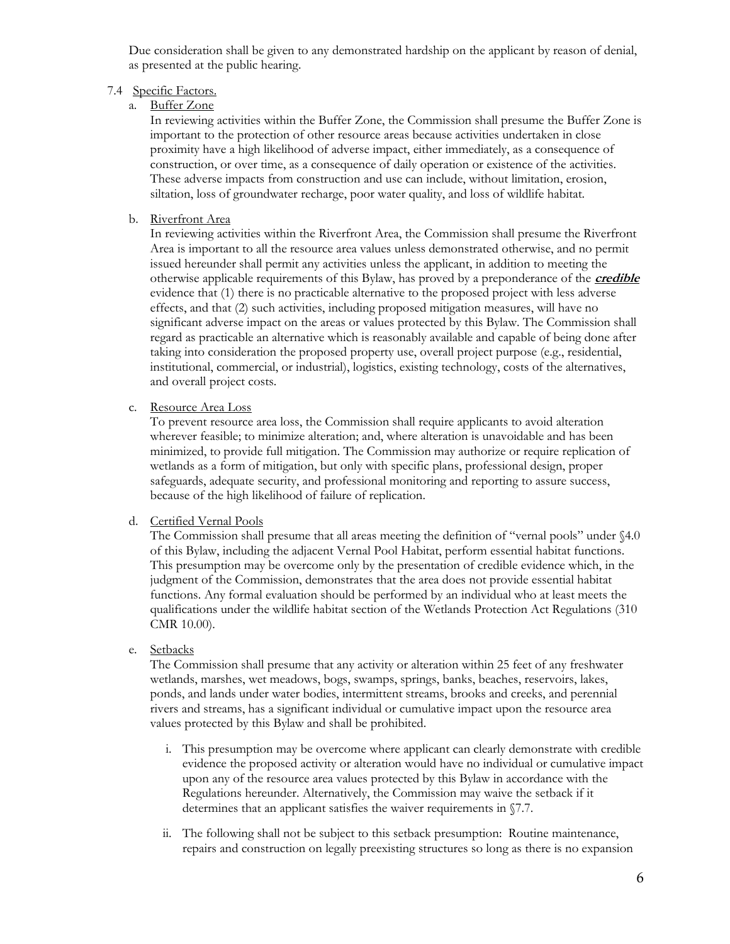Due consideration shall be given to any demonstrated hardship on the applicant by reason of denial, as presented at the public hearing.

# 7.4 Specific Factors.

a. Buffer Zone

In reviewing activities within the Buffer Zone, the Commission shall presume the Buffer Zone is important to the protection of other resource areas because activities undertaken in close proximity have a high likelihood of adverse impact, either immediately, as a consequence of construction, or over time, as a consequence of daily operation or existence of the activities. These adverse impacts from construction and use can include, without limitation, erosion, siltation, loss of groundwater recharge, poor water quality, and loss of wildlife habitat.

b. Riverfront Area

In reviewing activities within the Riverfront Area, the Commission shall presume the Riverfront Area is important to all the resource area values unless demonstrated otherwise, and no permit issued hereunder shall permit any activities unless the applicant, in addition to meeting the otherwise applicable requirements of this Bylaw, has proved by a preponderance of the **credible** evidence that (1) there is no practicable alternative to the proposed project with less adverse effects, and that (2) such activities, including proposed mitigation measures, will have no significant adverse impact on the areas or values protected by this Bylaw. The Commission shall regard as practicable an alternative which is reasonably available and capable of being done after taking into consideration the proposed property use, overall project purpose (e.g., residential, institutional, commercial, or industrial), logistics, existing technology, costs of the alternatives, and overall project costs.

c. Resource Area Loss

To prevent resource area loss, the Commission shall require applicants to avoid alteration wherever feasible; to minimize alteration; and, where alteration is unavoidable and has been minimized, to provide full mitigation. The Commission may authorize or require replication of wetlands as a form of mitigation, but only with specific plans, professional design, proper safeguards, adequate security, and professional monitoring and reporting to assure success, because of the high likelihood of failure of replication.

#### d. Certified Vernal Pools

The Commission shall presume that all areas meeting the definition of "vernal pools" under §4.0 of this Bylaw, including the adjacent Vernal Pool Habitat, perform essential habitat functions. This presumption may be overcome only by the presentation of credible evidence which, in the judgment of the Commission, demonstrates that the area does not provide essential habitat functions. Any formal evaluation should be performed by an individual who at least meets the qualifications under the wildlife habitat section of the Wetlands Protection Act Regulations (310 CMR 10.00).

e. Setbacks

The Commission shall presume that any activity or alteration within 25 feet of any freshwater wetlands, marshes, wet meadows, bogs, swamps, springs, banks, beaches, reservoirs, lakes, ponds, and lands under water bodies, intermittent streams, brooks and creeks, and perennial rivers and streams, has a significant individual or cumulative impact upon the resource area values protected by this Bylaw and shall be prohibited.

- i. This presumption may be overcome where applicant can clearly demonstrate with credible evidence the proposed activity or alteration would have no individual or cumulative impact upon any of the resource area values protected by this Bylaw in accordance with the Regulations hereunder. Alternatively, the Commission may waive the setback if it determines that an applicant satisfies the waiver requirements in §7.7.
- ii. The following shall not be subject to this setback presumption: Routine maintenance, repairs and construction on legally preexisting structures so long as there is no expansion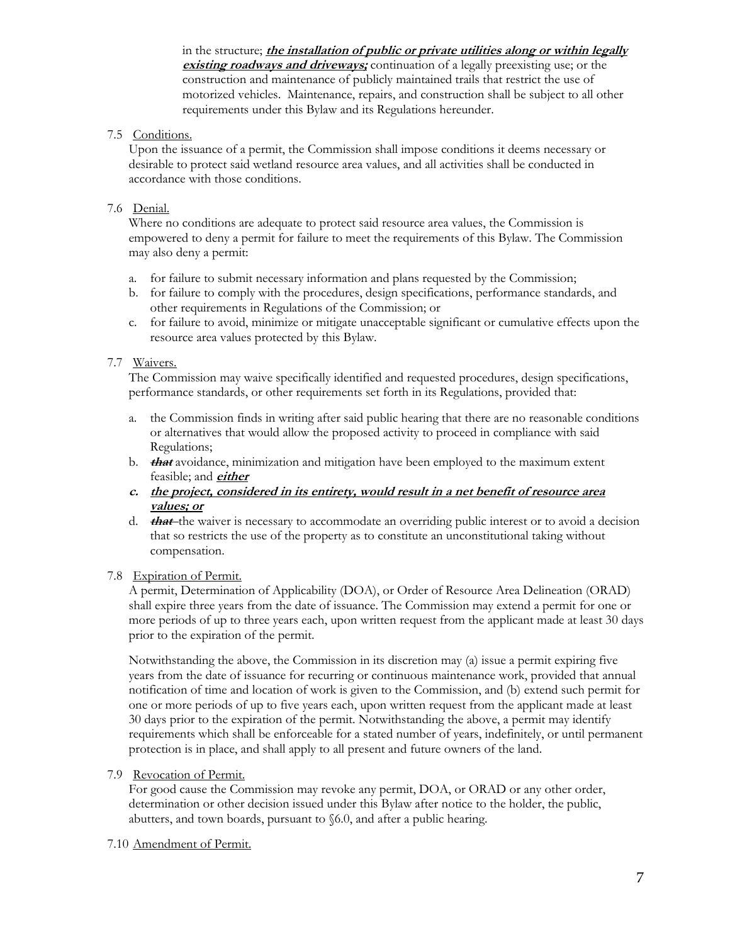in the structure; **the installation of public or private utilities along or within legally existing roadways and driveways;** continuation of a legally preexisting use; or the construction and maintenance of publicly maintained trails that restrict the use of motorized vehicles. Maintenance, repairs, and construction shall be subject to all other requirements under this Bylaw and its Regulations hereunder.

# 7.5 Conditions.

Upon the issuance of a permit, the Commission shall impose conditions it deems necessary or desirable to protect said wetland resource area values, and all activities shall be conducted in accordance with those conditions.

# 7.6 Denial.

Where no conditions are adequate to protect said resource area values, the Commission is empowered to deny a permit for failure to meet the requirements of this Bylaw. The Commission may also deny a permit:

- a. for failure to submit necessary information and plans requested by the Commission;
- b. for failure to comply with the procedures, design specifications, performance standards, and other requirements in Regulations of the Commission; or
- c. for failure to avoid, minimize or mitigate unacceptable significant or cumulative effects upon the resource area values protected by this Bylaw.

# 7.7 Waivers.

The Commission may waive specifically identified and requested procedures, design specifications, performance standards, or other requirements set forth in its Regulations, provided that:

- a. the Commission finds in writing after said public hearing that there are no reasonable conditions or alternatives that would allow the proposed activity to proceed in compliance with said Regulations;
- b. **that** avoidance, minimization and mitigation have been employed to the maximum extent feasible; and **either**
- **c. the project, considered in its entirety, would result in a net benefit of resource area values; or**
- d. **that** the waiver is necessary to accommodate an overriding public interest or to avoid a decision that so restricts the use of the property as to constitute an unconstitutional taking without compensation.

# 7.8 Expiration of Permit.

A permit, Determination of Applicability (DOA), or Order of Resource Area Delineation (ORAD) shall expire three years from the date of issuance. The Commission may extend a permit for one or more periods of up to three years each, upon written request from the applicant made at least 30 days prior to the expiration of the permit.

Notwithstanding the above, the Commission in its discretion may (a) issue a permit expiring five years from the date of issuance for recurring or continuous maintenance work, provided that annual notification of time and location of work is given to the Commission, and (b) extend such permit for one or more periods of up to five years each, upon written request from the applicant made at least 30 days prior to the expiration of the permit. Notwithstanding the above, a permit may identify requirements which shall be enforceable for a stated number of years, indefinitely, or until permanent protection is in place, and shall apply to all present and future owners of the land.

# 7.9 Revocation of Permit.

For good cause the Commission may revoke any permit, DOA, or ORAD or any other order, determination or other decision issued under this Bylaw after notice to the holder, the public, abutters, and town boards, pursuant to §6.0, and after a public hearing.

#### 7.10 Amendment of Permit.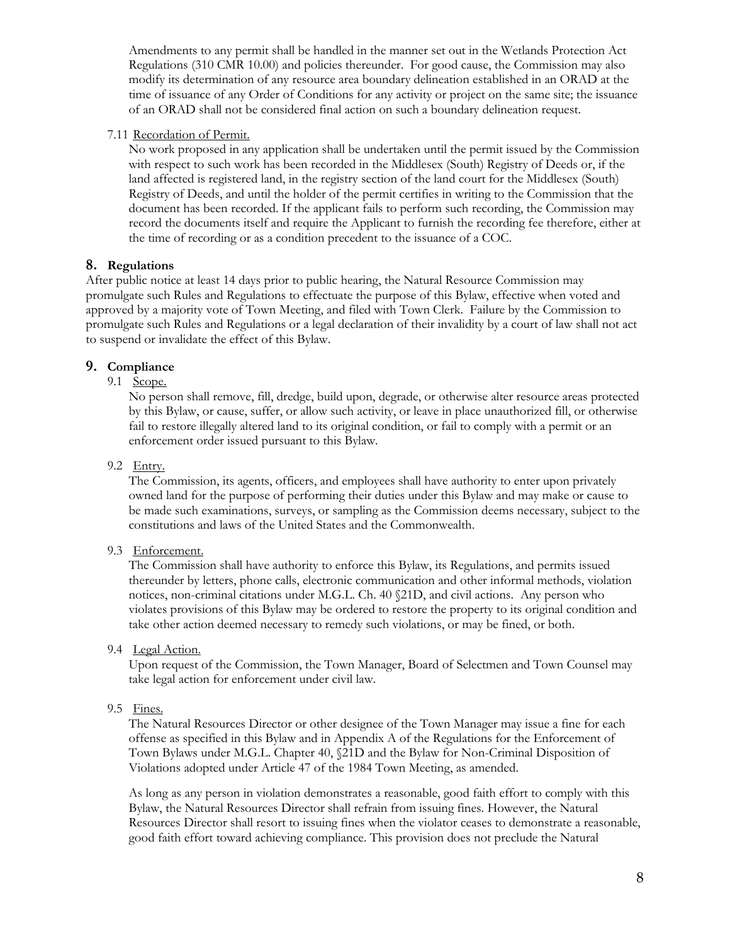Amendments to any permit shall be handled in the manner set out in the Wetlands Protection Act Regulations (310 CMR 10.00) and policies thereunder. For good cause, the Commission may also modify its determination of any resource area boundary delineation established in an ORAD at the time of issuance of any Order of Conditions for any activity or project on the same site; the issuance of an ORAD shall not be considered final action on such a boundary delineation request.

# 7.11 Recordation of Permit.

No work proposed in any application shall be undertaken until the permit issued by the Commission with respect to such work has been recorded in the Middlesex (South) Registry of Deeds or, if the land affected is registered land, in the registry section of the land court for the Middlesex (South) Registry of Deeds, and until the holder of the permit certifies in writing to the Commission that the document has been recorded. If the applicant fails to perform such recording, the Commission may record the documents itself and require the Applicant to furnish the recording fee therefore, either at the time of recording or as a condition precedent to the issuance of a COC.

# **8. Regulations**

After public notice at least 14 days prior to public hearing, the Natural Resource Commission may promulgate such Rules and Regulations to effectuate the purpose of this Bylaw, effective when voted and approved by a majority vote of Town Meeting, and filed with Town Clerk. Failure by the Commission to promulgate such Rules and Regulations or a legal declaration of their invalidity by a court of law shall not act to suspend or invalidate the effect of this Bylaw.

# **9. Compliance**

# 9.1 Scope.

No person shall remove, fill, dredge, build upon, degrade, or otherwise alter resource areas protected by this Bylaw, or cause, suffer, or allow such activity, or leave in place unauthorized fill, or otherwise fail to restore illegally altered land to its original condition, or fail to comply with a permit or an enforcement order issued pursuant to this Bylaw.

# 9.2 Entry.

The Commission, its agents, officers, and employees shall have authority to enter upon privately owned land for the purpose of performing their duties under this Bylaw and may make or cause to be made such examinations, surveys, or sampling as the Commission deems necessary, subject to the constitutions and laws of the United States and the Commonwealth.

# 9.3 Enforcement.

The Commission shall have authority to enforce this Bylaw, its Regulations, and permits issued thereunder by letters, phone calls, electronic communication and other informal methods, violation notices, non-criminal citations under M.G.L. Ch. 40 §21D, and civil actions. Any person who violates provisions of this Bylaw may be ordered to restore the property to its original condition and take other action deemed necessary to remedy such violations, or may be fined, or both.

# 9.4 Legal Action.

Upon request of the Commission, the Town Manager, Board of Selectmen and Town Counsel may take legal action for enforcement under civil law.

# 9.5 Fines.

The Natural Resources Director or other designee of the Town Manager may issue a fine for each offense as specified in this Bylaw and in Appendix A of the Regulations for the Enforcement of Town Bylaws under M.G.L. Chapter 40, §21D and the Bylaw for Non-Criminal Disposition of Violations adopted under Article 47 of the 1984 Town Meeting, as amended.

As long as any person in violation demonstrates a reasonable, good faith effort to comply with this Bylaw, the Natural Resources Director shall refrain from issuing fines. However, the Natural Resources Director shall resort to issuing fines when the violator ceases to demonstrate a reasonable, good faith effort toward achieving compliance. This provision does not preclude the Natural